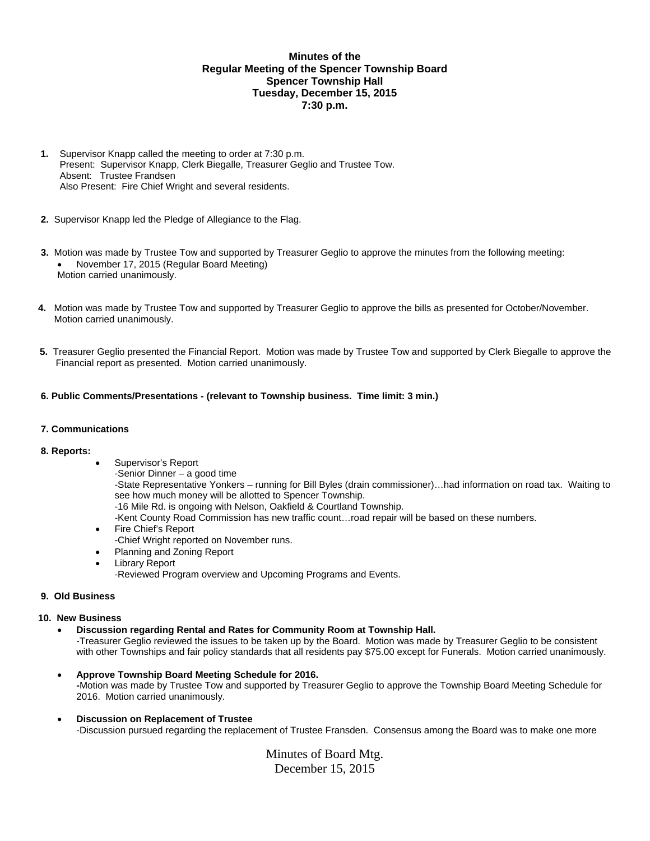# **Minutes of the Regular Meeting of the Spencer Township Board Spencer Township Hall Tuesday, December 15, 2015 7:30 p.m.**

- **1.** Supervisor Knapp called the meeting to order at 7:30 p.m. Present: Supervisor Knapp, Clerk Biegalle, Treasurer Geglio and Trustee Tow. Absent: Trustee Frandsen Also Present: Fire Chief Wright and several residents.
- **2.** Supervisor Knapp led the Pledge of Allegiance to the Flag.
- **3.** Motion was made by Trustee Tow and supported by Treasurer Geglio to approve the minutes from the following meeting: November 17, 2015 (Regular Board Meeting) Motion carried unanimously.
- **4.** Motion was made by Trustee Tow and supported by Treasurer Geglio to approve the bills as presented for October/November. Motion carried unanimously.
- **5.** Treasurer Geglio presented the Financial Report. Motion was made by Trustee Tow and supported by Clerk Biegalle to approve the Financial report as presented. Motion carried unanimously.

## **6. Public Comments/Presentations - (relevant to Township business. Time limit: 3 min.)**

#### **7. Communications**

#### **8. Reports:**

- Supervisor's Report
	- -Senior Dinner a good time

-State Representative Yonkers – running for Bill Byles (drain commissioner)…had information on road tax. Waiting to see how much money will be allotted to Spencer Township.

- -16 Mile Rd. is ongoing with Nelson, Oakfield & Courtland Township.
- -Kent County Road Commission has new traffic count…road repair will be based on these numbers.
- Fire Chief's Report
- -Chief Wright reported on November runs.
- Planning and Zoning Report
- Library Report
	- -Reviewed Program overview and Upcoming Programs and Events.

#### **9. Old Business**

#### **10. New Business**

**Discussion regarding Rental and Rates for Community Room at Township Hall.** 

-Treasurer Geglio reviewed the issues to be taken up by the Board. Motion was made by Treasurer Geglio to be consistent with other Townships and fair policy standards that all residents pay \$75.00 except for Funerals. Motion carried unanimously.

- **Approve Township Board Meeting Schedule for 2016. -**Motion was made by Trustee Tow and supported by Treasurer Geglio to approve the Township Board Meeting Schedule for 2016. Motion carried unanimously.
- **Discussion on Replacement of Trustee** -Discussion pursued regarding the replacement of Trustee Fransden. Consensus among the Board was to make one more

Minutes of Board Mtg. December 15, 2015